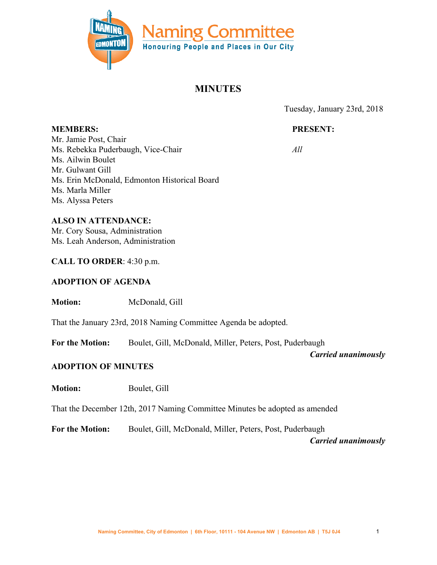

# **MINUTES**

Tuesday, January 23rd, 2018

# **PRESENT:**

*All*

**MEMBERS:** Mr. Jamie Post, Chair Ms. Rebekka Puderbaugh, Vice-Chair Ms. Ailwin Boulet Mr. Gulwant Gill Ms. Erin McDonald, Edmonton Historical Board Ms. Marla Miller Ms. Alyssa Peters

## **ALSO IN ATTENDANCE:**

Mr. Cory Sousa, Administration Ms. Leah Anderson, Administration

### **CALL TO ORDER**: 4:30 p.m.

### **ADOPTION OF AGENDA**

**Motion:** McDonald, Gill

That the January 23rd, 2018 Naming Committee Agenda be adopted.

**For the Motion:** Boulet, Gill, McDonald, Miller, Peters, Post, Puderbaugh

*Carried unanimously*

### **ADOPTION OF MINUTES**

**Motion:** Boulet, Gill

That the December 12th, 2017 Naming Committee Minutes be adopted as amended

**For the Motion:** Boulet, Gill, McDonald, Miller, Peters, Post, Puderbaugh

*Carried unanimously*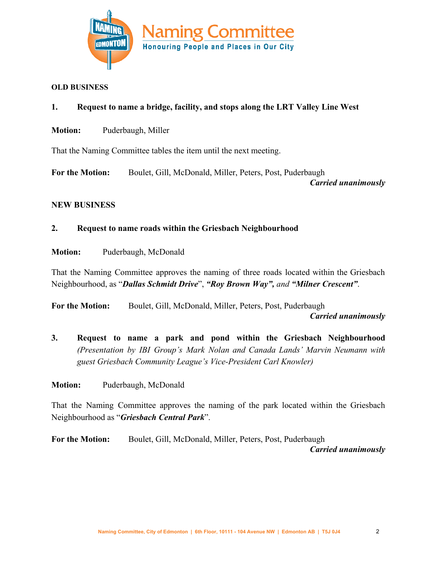

#### **OLD BUSINESS**

- **1. Request to name a bridge, facility, and stops along the LRT Valley Line West**
- **Motion:** Puderbaugh, Miller

That the Naming Committee tables the item until the next meeting.

**For the Motion:** Boulet, Gill, McDonald, Miller, Peters, Post, Puderbaugh *Carried unanimously*

#### **NEW BUSINESS**

#### **2. Request to name roads within the Griesbach Neighbourhood**

**Motion:** Puderbaugh, McDonald

That the Naming Committee approves the naming of three roads located within the Griesbach Neighbourhood, as "*Dallas Schmidt Drive*", *"Roy Brown Way", and "Milner Crescent"*.

**For the Motion:** Boulet, Gill, McDonald, Miller, Peters, Post, Puderbaugh  *Carried unanimously*

**3. Request to name a park and pond within the Griesbach Neighbourhood** *(Presentation by IBI Group's Mark Nolan and Canada Lands' Marvin Neumann with guest Griesbach Community League's Vice-President Carl Knowler)*

**Motion:** Puderbaugh, McDonald

That the Naming Committee approves the naming of the park located within the Griesbach Neighbourhood as "*Griesbach Central Park*".

**For the Motion:** Boulet, Gill, McDonald, Miller, Peters, Post, Puderbaugh *Carried unanimously*